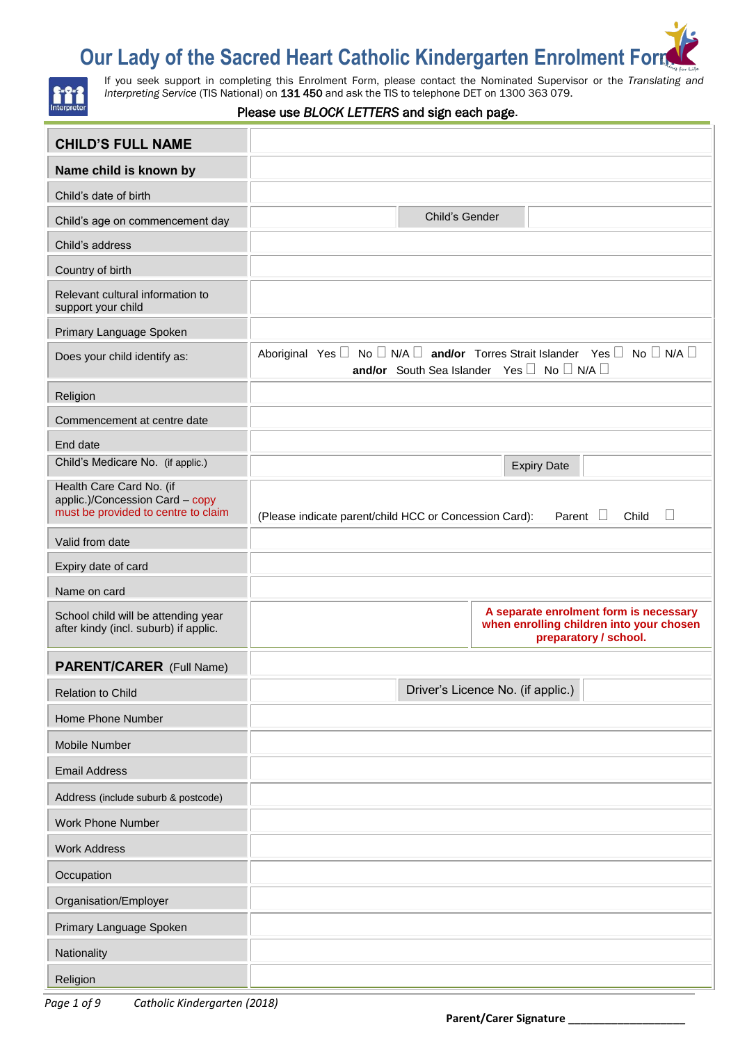# **Our Lady of the Sacred Heart Catholic Kindergarten Enrolment Formation of the Sacred Heart Catholic Kindergarten**



If you seek support in completing this Enrolment Form, please contact the Nominated Supervisor or the *Translating and Interpreting Service* (TIS National) on 131 450 and ask the TIS to telephone DET on 1300 363 079.

#### Please use *BLOCK LETTERS* and sign each page.

| <b>CHILD'S FULL NAME</b>                                                                           |                                                                                                                                                        |
|----------------------------------------------------------------------------------------------------|--------------------------------------------------------------------------------------------------------------------------------------------------------|
| Name child is known by                                                                             |                                                                                                                                                        |
| Child's date of birth                                                                              |                                                                                                                                                        |
| Child's age on commencement day                                                                    | Child's Gender                                                                                                                                         |
| Child's address                                                                                    |                                                                                                                                                        |
| Country of birth                                                                                   |                                                                                                                                                        |
| Relevant cultural information to<br>support your child                                             |                                                                                                                                                        |
| Primary Language Spoken                                                                            |                                                                                                                                                        |
| Does your child identify as:                                                                       | Aboriginal Yes $\Box$ No $\Box$ N/A $\Box$ and/or Torres Strait Islander Yes $\Box$ No $\Box$ N/A $\Box$<br>and/or South Sea Islander Yes D No D N/A D |
| Religion                                                                                           |                                                                                                                                                        |
| Commencement at centre date                                                                        |                                                                                                                                                        |
| End date                                                                                           |                                                                                                                                                        |
| Child's Medicare No. (if applic.)                                                                  | <b>Expiry Date</b>                                                                                                                                     |
| Health Care Card No. (if<br>applic.)/Concession Card - copy<br>must be provided to centre to claim | $\Box$<br>Parent $\square$<br>(Please indicate parent/child HCC or Concession Card):<br>Child                                                          |
| Valid from date                                                                                    |                                                                                                                                                        |
| Expiry date of card                                                                                |                                                                                                                                                        |
| Name on card                                                                                       |                                                                                                                                                        |
| School child will be attending year<br>after kindy (incl. suburb) if applic.                       | A separate enrolment form is necessary<br>when enrolling children into your chosen<br>preparatory / school.                                            |
| PARENT/CARER (Full Name)                                                                           |                                                                                                                                                        |
| <b>Relation to Child</b>                                                                           | Driver's Licence No. (if applic.)                                                                                                                      |
| Home Phone Number                                                                                  |                                                                                                                                                        |
| Mobile Number                                                                                      |                                                                                                                                                        |
| <b>Email Address</b>                                                                               |                                                                                                                                                        |
| Address (include suburb & postcode)                                                                |                                                                                                                                                        |
| Work Phone Number                                                                                  |                                                                                                                                                        |
| <b>Work Address</b>                                                                                |                                                                                                                                                        |
| Occupation                                                                                         |                                                                                                                                                        |
| Organisation/Employer                                                                              |                                                                                                                                                        |
| Primary Language Spoken                                                                            |                                                                                                                                                        |
| Nationality                                                                                        |                                                                                                                                                        |
| Religion                                                                                           |                                                                                                                                                        |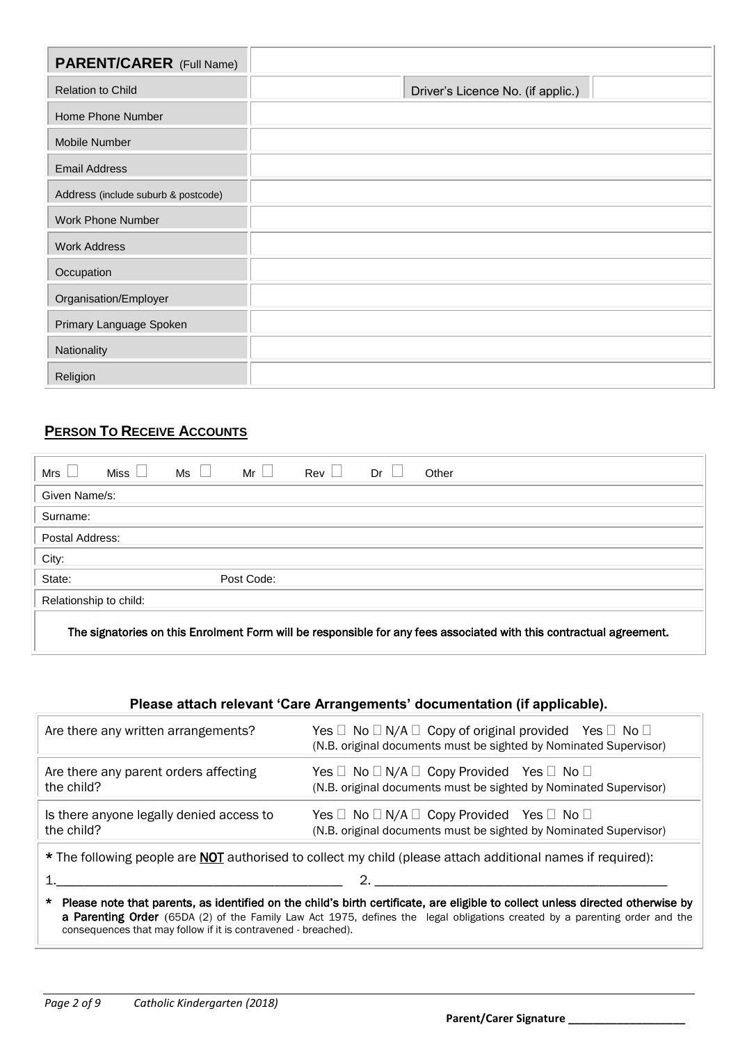| <b>PARENT/CARER</b> (Full Name)     |                                   |
|-------------------------------------|-----------------------------------|
| <b>Relation to Child</b>            | Driver's Licence No. (if applic.) |
| Home Phone Number                   |                                   |
| Mobile Number                       |                                   |
| <b>Email Address</b>                |                                   |
| Address (include suburb & postcode) |                                   |
| Work Phone Number                   |                                   |
| <b>Work Address</b>                 |                                   |
| Occupation                          |                                   |
| Organisation/Employer               |                                   |
| Primary Language Spoken             |                                   |
| Nationality                         |                                   |
| Religion                            |                                   |

# **PERSON TO RECEIVE ACCOUNTS**

| Mrs                    | Miss $\vert \ \vert$ | $Ms \Box$ | $Mr$ $\parallel$ | $Rev$ | Dr | Other                                                                                                               |
|------------------------|----------------------|-----------|------------------|-------|----|---------------------------------------------------------------------------------------------------------------------|
| Given Name/s:          |                      |           |                  |       |    |                                                                                                                     |
| Surname:               |                      |           |                  |       |    |                                                                                                                     |
| Postal Address:        |                      |           |                  |       |    |                                                                                                                     |
| City:                  |                      |           |                  |       |    |                                                                                                                     |
| State:                 |                      |           | Post Code:       |       |    |                                                                                                                     |
| Relationship to child: |                      |           |                  |       |    |                                                                                                                     |
|                        |                      |           |                  |       |    | The signatories on this Enrolment Form will be responsible for any fees associated with this contractual agreement. |

# **Please attach relevant 'Care Arrangements' documentation (if applicable).**

| Are there any written arrangements?                                                                                | Yes $\Box$ No $\Box$ N/A $\Box$ Copy of original provided Yes $\Box$ No $\Box$<br>(N.B. original documents must be sighted by Nominated Supervisor) |  |  |
|--------------------------------------------------------------------------------------------------------------------|-----------------------------------------------------------------------------------------------------------------------------------------------------|--|--|
| Are there any parent orders affecting                                                                              | Yes $\Box$ No $\Box$ N/A $\Box$ Copy Provided Yes $\Box$ No $\Box$                                                                                  |  |  |
| the child?                                                                                                         | (N.B. original documents must be sighted by Nominated Supervisor)                                                                                   |  |  |
| Is there anyone legally denied access to                                                                           | Yes $\Box$ No $\Box$ N/A $\Box$ Copy Provided Yes $\Box$ No $\Box$                                                                                  |  |  |
| the child?                                                                                                         | (N.B. original documents must be sighted by Nominated Supervisor)                                                                                   |  |  |
| * The following people are <b>NOT</b> authorised to collect my child (please attach additional names if required): |                                                                                                                                                     |  |  |

1.\_\_\_\_\_\_\_\_\_\_\_\_\_\_\_\_\_\_\_\_\_\_\_\_\_\_\_\_\_\_\_\_\_\_\_\_\_\_\_\_\_\_ 2. \_\_\_\_\_\_\_\_\_\_\_\_\_\_\_\_\_\_\_\_\_\_\_\_\_\_\_\_\_\_\_\_\_\_\_\_\_\_\_\_\_\_\_

\* Please note that parents, as identified on the child's birth certificate, are eligible to collect unless directed otherwise by a Parenting Order (65DA (2) of the Family Law Act 1975, defines the legal obligations created by a parenting order and the consequences that may follow if it is contravened - breached).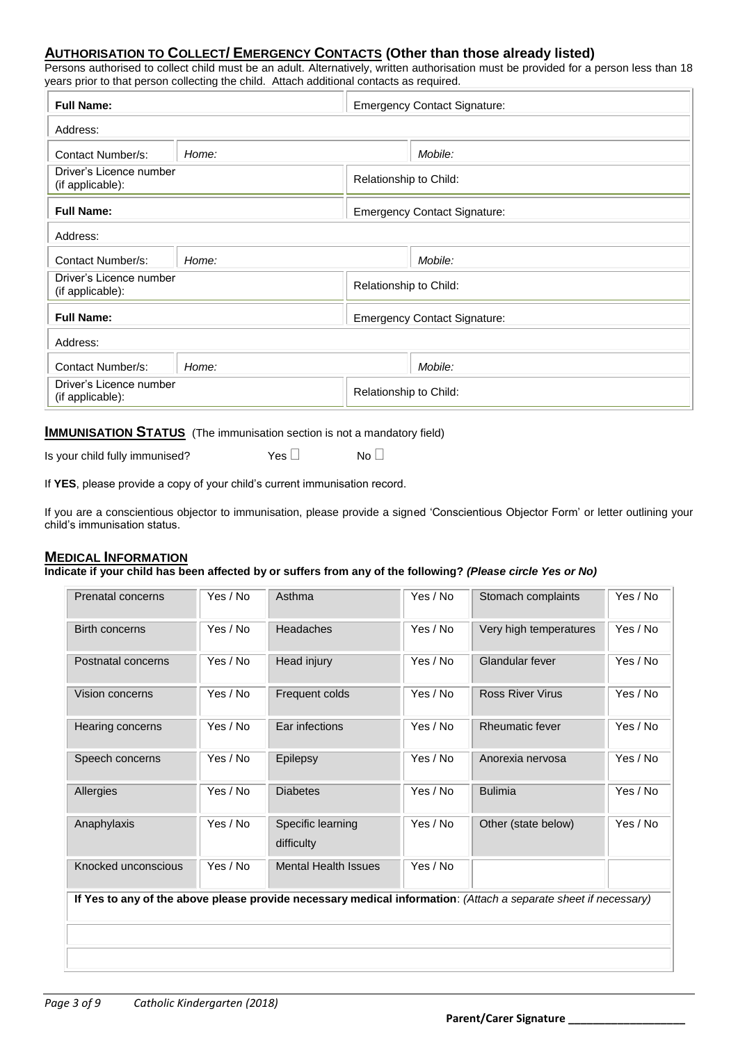# **AUTHORISATION TO COLLECT/ EMERGENCY CONTACTS (Other than those already listed)**

Persons authorised to collect child must be an adult. Alternatively, written authorisation must be provided for a person less than 18 years prior to that person collecting the child. Attach additional contacts as required.

| <b>Full Name:</b>                           |       | <b>Emergency Contact Signature:</b> |                                     |
|---------------------------------------------|-------|-------------------------------------|-------------------------------------|
| Address:                                    |       |                                     |                                     |
| Contact Number/s:                           | Home: |                                     | Mobile:                             |
| Driver's Licence number<br>(if applicable): |       | Relationship to Child:              |                                     |
| <b>Full Name:</b>                           |       |                                     | <b>Emergency Contact Signature:</b> |
| Address:                                    |       |                                     |                                     |
| Contact Number/s:                           | Home: |                                     | Mobile:                             |
| Driver's Licence number<br>(if applicable): |       | Relationship to Child:              |                                     |
| <b>Full Name:</b>                           |       | <b>Emergency Contact Signature:</b> |                                     |
| Address:                                    |       |                                     |                                     |
| Contact Number/s:                           | Home: |                                     | Mobile:                             |
| Driver's Licence number<br>(if applicable): |       | Relationship to Child:              |                                     |

## **IMMUNISATION STATUS** (The immunisation section is not a mandatory field)

Is your child fully immunised?  $Yes \Box$  No  $\Box$ 

If **YES**, please provide a copy of your child's current immunisation record.

If you are a conscientious objector to immunisation, please provide a signed 'Conscientious Objector Form' or letter outlining your child's immunisation status.

# **MEDICAL INFORMATION**

**Indicate if your child has been affected by or suffers from any of the following?** *(Please circle Yes or No)*

| Prenatal concerns   | Yes / No | Asthma                          | Yes / No | Stomach complaints                                                                                              | Yes / No |
|---------------------|----------|---------------------------------|----------|-----------------------------------------------------------------------------------------------------------------|----------|
| Birth concerns      | Yes / No | <b>Headaches</b>                | Yes / No | Very high temperatures                                                                                          | Yes / No |
| Postnatal concerns  | Yes / No | Head injury                     | Yes / No | Glandular fever                                                                                                 | Yes / No |
| Vision concerns     | Yes / No | Frequent colds                  | Yes / No | <b>Ross River Virus</b>                                                                                         | Yes / No |
| Hearing concerns    | Yes / No | Ear infections                  | Yes / No | <b>Rheumatic fever</b>                                                                                          | Yes / No |
| Speech concerns     | Yes / No | Epilepsy                        | Yes / No | Anorexia nervosa                                                                                                | Yes / No |
| Allergies           | Yes / No | <b>Diabetes</b>                 | Yes / No | <b>Bulimia</b>                                                                                                  | Yes / No |
| Anaphylaxis         | Yes / No | Specific learning<br>difficulty | Yes / No | Other (state below)                                                                                             | Yes / No |
| Knocked unconscious | Yes / No | <b>Mental Health Issues</b>     | Yes / No |                                                                                                                 |          |
|                     |          |                                 |          | If Yes to any of the above please provide necessary medical information: (Attach a separate sheet if necessary) |          |
|                     |          |                                 |          |                                                                                                                 |          |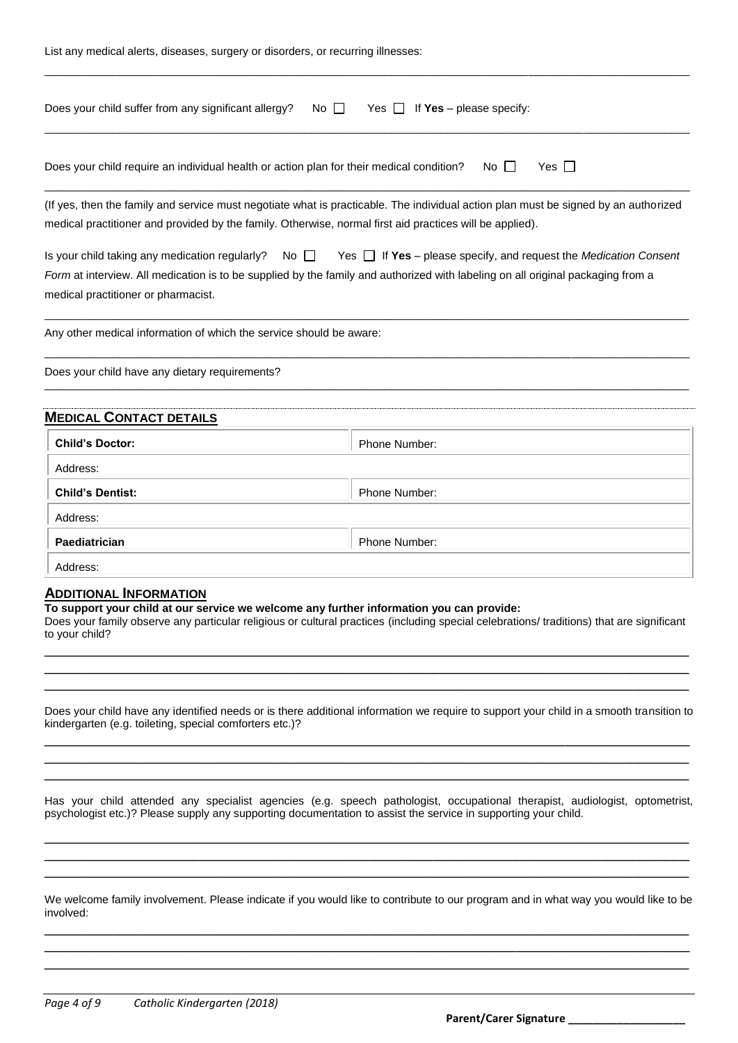| List any medical alerts, diseases, surgery or disorders, or recurring illnesses:                                                                                                                                                      |                                                                                                                                           |
|---------------------------------------------------------------------------------------------------------------------------------------------------------------------------------------------------------------------------------------|-------------------------------------------------------------------------------------------------------------------------------------------|
| Does your child suffer from any significant allergy?<br>No II                                                                                                                                                                         | Yes $\Box$ If <b>Yes</b> – please specify:                                                                                                |
| Does your child require an individual health or action plan for their medical condition?                                                                                                                                              | $No$ $\Box$<br>Yes $\Box$                                                                                                                 |
| medical practitioner and provided by the family. Otherwise, normal first aid practices will be applied).                                                                                                                              | (If yes, then the family and service must negotiate what is practicable. The individual action plan must be signed by an authorized       |
| Is your child taking any medication regularly?<br>No $\Box$<br>Form at interview. All medication is to be supplied by the family and authorized with labeling on all original packaging from a<br>medical practitioner or pharmacist. | Yes $\Box$ If Yes – please specify, and request the <i>Medication Consent</i>                                                             |
| Any other medical information of which the service should be aware:                                                                                                                                                                   |                                                                                                                                           |
| Does your child have any dietary requirements?                                                                                                                                                                                        |                                                                                                                                           |
| <b>MEDICAL CONTACT DETAILS</b>                                                                                                                                                                                                        |                                                                                                                                           |
| <b>Child's Doctor:</b>                                                                                                                                                                                                                | Phone Number:                                                                                                                             |
| Address:                                                                                                                                                                                                                              |                                                                                                                                           |
| <b>Child's Dentist:</b>                                                                                                                                                                                                               | Phone Number:                                                                                                                             |
| Address:                                                                                                                                                                                                                              |                                                                                                                                           |
| Paediatrician                                                                                                                                                                                                                         | Phone Number:                                                                                                                             |
| Address:                                                                                                                                                                                                                              |                                                                                                                                           |
| <b>ADDITIONAL INFORMATION</b><br>To support your child at our service we welcome any further information you can provide:<br>to your child?                                                                                           | Does your family observe any particular religious or cultural practices (including special celebrations/ traditions) that are significant |
| kindergarten (e.g. toileting, special comforters etc.)?                                                                                                                                                                               | Does your child have any identified needs or is there additional information we require to support your child in a smooth transition to   |
| psychologist etc.)? Please supply any supporting documentation to assist the service in supporting your child.                                                                                                                        | Has your child attended any specialist agencies (e.g. speech pathologist, occupational therapist, audiologist, optometrist,               |
|                                                                                                                                                                                                                                       |                                                                                                                                           |

We welcome family involvement. Please indicate if you would like to contribute to our program and in what way you would like to be involved: \_\_\_\_\_\_\_\_\_\_\_\_\_\_\_\_\_\_\_\_\_\_\_\_\_\_\_\_\_\_\_\_\_\_\_\_\_\_\_\_\_\_\_\_\_\_\_\_\_\_\_\_\_\_\_\_\_\_\_\_\_\_\_\_\_\_\_\_\_\_\_\_\_\_\_\_\_\_

\_\_\_\_\_\_\_\_\_\_\_\_\_\_\_\_\_\_\_\_\_\_\_\_\_\_\_\_\_\_\_\_\_\_\_\_\_\_\_\_\_\_\_\_\_\_\_\_\_\_\_\_\_\_\_\_\_\_\_\_\_\_\_\_\_\_\_\_\_\_\_\_\_\_\_\_\_\_ \_\_\_\_\_\_\_\_\_\_\_\_\_\_\_\_\_\_\_\_\_\_\_\_\_\_\_\_\_\_\_\_\_\_\_\_\_\_\_\_\_\_\_\_\_\_\_\_\_\_\_\_\_\_\_\_\_\_\_\_\_\_\_\_\_\_\_\_\_\_\_\_\_\_\_\_\_\_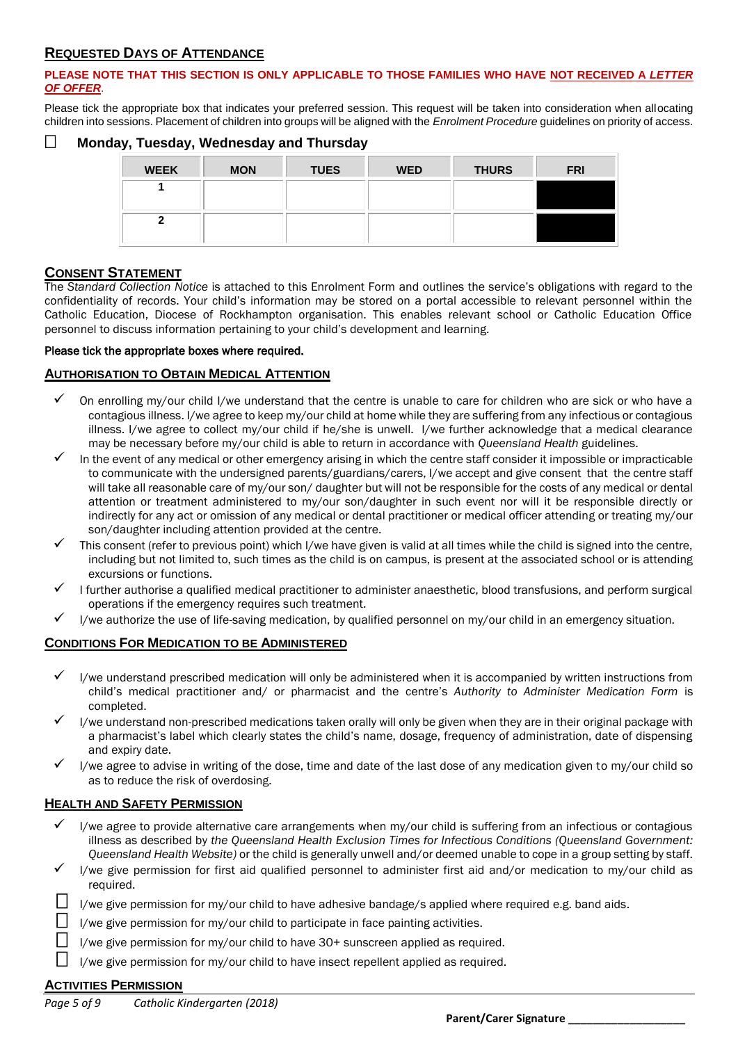# **REQUESTED DAYS OF ATTENDANCE**

### **PLEASE NOTE THAT THIS SECTION IS ONLY APPLICABLE TO THOSE FAMILIES WHO HAVE NOT RECEIVED A** *LETTER OF OFFER*.

Please tick the appropriate box that indicates your preferred session. This request will be taken into consideration when allocating children into sessions. Placement of children into groups will be aligned with the *Enrolment Procedure* guidelines on priority of access.

# **Monday, Tuesday, Wednesday and Thursday**

| <b>WEEK</b> | <b>MON</b> | <b>TUES</b> | <b>WED</b> | <b>THURS</b> | <b>FRI</b> |
|-------------|------------|-------------|------------|--------------|------------|
|             |            |             |            |              |            |
|             |            |             |            |              |            |

# **CONSENT STATEMENT**

The *Standard Collection Notice* is attached to this Enrolment Form and outlines the service's obligations with regard to the confidentiality of records. Your child's information may be stored on a portal accessible to relevant personnel within the Catholic Education, Diocese of Rockhampton organisation. This enables relevant school or Catholic Education Office personnel to discuss information pertaining to your child's development and learning.

#### Please tick the appropriate boxes where required.

### **AUTHORISATION TO OBTAIN MEDICAL ATTENTION**

- $\checkmark$  On enrolling my/our child I/we understand that the centre is unable to care for children who are sick or who have a contagious illness. I/we agree to keep my/our child at home while they are suffering from any infectious or contagious illness. I/we agree to collect my/our child if he/she is unwell. I/we further acknowledge that a medical clearance may be necessary before my/our child is able to return in accordance with *Queensland Health* guidelines.
- In the event of any medical or other emergency arising in which the centre staff consider it impossible or impracticable to communicate with the undersigned parents/guardians/carers, I/we accept and give consent that the centre staff will take all reasonable care of my/our son/ daughter but will not be responsible for the costs of any medical or dental attention or treatment administered to my/our son/daughter in such event nor will it be responsible directly or indirectly for any act or omission of any medical or dental practitioner or medical officer attending or treating my/our son/daughter including attention provided at the centre.
- This consent (refer to previous point) which I/we have given is valid at all times while the child is signed into the centre, including but not limited to, such times as the child is on campus, is present at the associated school or is attending excursions or functions.
- I further authorise a qualified medical practitioner to administer anaesthetic, blood transfusions, and perform surgical operations if the emergency requires such treatment.
- I/we authorize the use of life-saving medication, by qualified personnel on my/our child in an emergency situation.

# **CONDITIONS FOR MEDICATION TO BE ADMINISTERED**

- $\checkmark$  I/we understand prescribed medication will only be administered when it is accompanied by written instructions from child's medical practitioner and/ or pharmacist and the centre's *Authority to Administer Medication Form* is completed.
- I/we understand non-prescribed medications taken orally will only be given when they are in their original package with a pharmacist's label which clearly states the child's name, dosage, frequency of administration, date of dispensing and expiry date.
- I/we agree to advise in writing of the dose, time and date of the last dose of any medication given to my/our child so as to reduce the risk of overdosing.

#### **HEALTH AND SAFETY PERMISSION**

- I/we agree to provide alternative care arrangements when my/our child is suffering from an infectious or contagious illness as described by *the Queensland Health Exclusion Times for Infectious Conditions (Queensland Government: Queensland Health Website)* or the child is generally unwell and/or deemed unable to cope in a group setting by staff.
- I/we give permission for first aid qualified personnel to administer first aid and/or medication to my/our child as required.

|  |  |  | $\Box$ I/we give permission for my/our child to have adhesive bandage/s applied where required e.g. band aids. |
|--|--|--|----------------------------------------------------------------------------------------------------------------|
|--|--|--|----------------------------------------------------------------------------------------------------------------|

- $\Box$  I/we give permission for my/our child to participate in face painting activities.
	- I/we give permission for my/our child to have 30+ sunscreen applied as required.
	- I/we give permission for my/our child to have insect repellent applied as required.

#### **ACTIVITIES PERMISSION**

*Page 5 of 9 Catholic Kindergarten (2018)*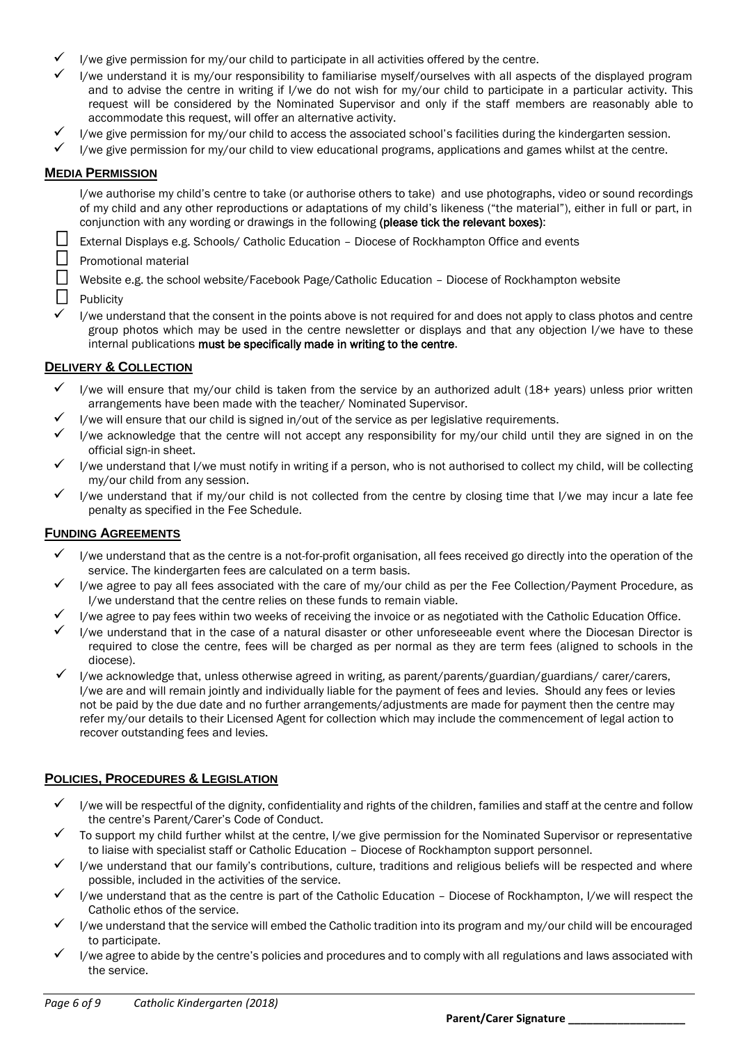- I/we give permission for my/our child to participate in all activities offered by the centre.
- I/we understand it is my/our responsibility to familiarise myself/ourselves with all aspects of the displayed program and to advise the centre in writing if I/we do not wish for my/our child to participate in a particular activity. This request will be considered by the Nominated Supervisor and only if the staff members are reasonably able to accommodate this request, will offer an alternative activity.
- I/we give permission for my/our child to access the associated school's facilities during the kindergarten session.
- I/we give permission for my/our child to view educational programs, applications and games whilst at the centre.

# **MEDIA PERMISSION**

I/we authorise my child's centre to take (or authorise others to take) and use photographs, video or sound recordings of my child and any other reproductions or adaptations of my child's likeness ("the material"), either in full or part, in conjunction with any wording or drawings in the following (please tick the relevant boxes):

External Displays e.g. Schools/ Catholic Education – Diocese of Rockhampton Office and events

 $\Box$  Promotional material<br> $\Box$  Website e.g. the scho

Website e.g. the school website/Facebook Page/Catholic Education – Diocese of Rockhampton website

**Publicity** 

 I/we understand that the consent in the points above is not required for and does not apply to class photos and centre group photos which may be used in the centre newsletter or displays and that any objection I/we have to these internal publications must be specifically made in writing to the centre.

# **DELIVERY & COLLECTION**

- I/we will ensure that my/our child is taken from the service by an authorized adult (18+ years) unless prior written arrangements have been made with the teacher/ Nominated Supervisor.
- I/we will ensure that our child is signed in/out of the service as per legislative requirements.
- I/we acknowledge that the centre will not accept any responsibility for my/our child until they are signed in on the official sign-in sheet.
- I/we understand that I/we must notify in writing if a person, who is not authorised to collect my child, will be collecting my/our child from any session.
- I/we understand that if my/our child is not collected from the centre by closing time that I/we may incur a late fee penalty as specified in the Fee Schedule.

# **FUNDING AGREEMENTS**

- $\checkmark$  I/we understand that as the centre is a not-for-profit organisation, all fees received go directly into the operation of the service. The kindergarten fees are calculated on a term basis.
- I/we agree to pay all fees associated with the care of my/our child as per the Fee Collection/Payment Procedure, as I/we understand that the centre relies on these funds to remain viable.
- I/we agree to pay fees within two weeks of receiving the invoice or as negotiated with the Catholic Education Office.
- I/we understand that in the case of a natural disaster or other unforeseeable event where the Diocesan Director is required to close the centre, fees will be charged as per normal as they are term fees (aligned to schools in the diocese).
- I/we acknowledge that, unless otherwise agreed in writing, as parent/parents/guardian/guardians/ carer/carers, I/we are and will remain jointly and individually liable for the payment of fees and levies. Should any fees or levies not be paid by the due date and no further arrangements/adjustments are made for payment then the centre may refer my/our details to their Licensed Agent for collection which may include the commencement of legal action to recover outstanding fees and levies.

# **POLICIES, PROCEDURES & LEGISLATION**

- $\checkmark$  I/we will be respectful of the dignity, confidentiality and rights of the children, families and staff at the centre and follow the centre's Parent/Carer's Code of Conduct.
- To support my child further whilst at the centre, I/we give permission for the Nominated Supervisor or representative to liaise with specialist staff or Catholic Education – Diocese of Rockhampton support personnel.
- I/we understand that our family's contributions, culture, traditions and religious beliefs will be respected and where possible, included in the activities of the service.
- I/we understand that as the centre is part of the Catholic Education Diocese of Rockhampton, I/we will respect the Catholic ethos of the service.
- I/we understand that the service will embed the Catholic tradition into its program and my/our child will be encouraged to participate.
- I/we agree to abide by the centre's policies and procedures and to comply with all regulations and laws associated with the service.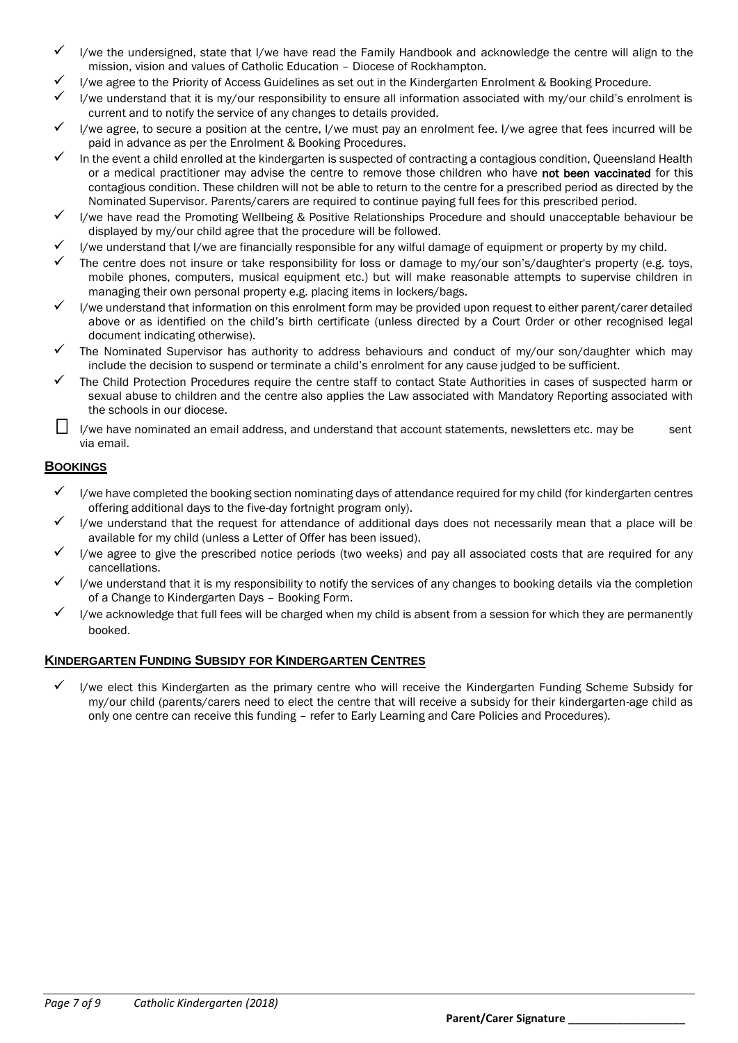- I/we the undersigned, state that I/we have read the Family Handbook and acknowledge the centre will align to the mission, vision and values of Catholic Education – Diocese of Rockhampton.
- I/we agree to the Priority of Access Guidelines as set out in the Kindergarten Enrolment & Booking Procedure.
- I/we understand that it is my/our responsibility to ensure all information associated with my/our child's enrolment is current and to notify the service of any changes to details provided.
- I/we agree, to secure a position at the centre, I/we must pay an enrolment fee. I/we agree that fees incurred will be paid in advance as per the Enrolment & Booking Procedures.
- In the event a child enrolled at the kindergarten is suspected of contracting a contagious condition, Queensland Health or a medical practitioner may advise the centre to remove those children who have not been vaccinated for this contagious condition. These children will not be able to return to the centre for a prescribed period as directed by the Nominated Supervisor. Parents/carers are required to continue paying full fees for this prescribed period.
- I/we have read the Promoting Wellbeing & Positive Relationships Procedure and should unacceptable behaviour be displayed by my/our child agree that the procedure will be followed.
- I/we understand that I/we are financially responsible for any wilful damage of equipment or property by my child.
- The centre does not insure or take responsibility for loss or damage to my/our son's/daughter's property (e.g. toys, mobile phones, computers, musical equipment etc.) but will make reasonable attempts to supervise children in managing their own personal property e.g. placing items in lockers/bags.
- I/we understand that information on this enrolment form may be provided upon request to either parent/carer detailed above or as identified on the child's birth certificate (unless directed by a Court Order or other recognised legal document indicating otherwise).
- The Nominated Supervisor has authority to address behaviours and conduct of my/our son/daughter which may include the decision to suspend or terminate a child's enrolment for any cause judged to be sufficient.
- The Child Protection Procedures require the centre staff to contact State Authorities in cases of suspected harm or sexual abuse to children and the centre also applies the Law associated with Mandatory Reporting associated with the schools in our diocese.
- I/we have nominated an email address, and understand that account statements, newsletters etc. may be sent via email.

# **BOOKINGS**

- $\checkmark$  I/we have completed the booking section nominating days of attendance required for my child (for kindergarten centres offering additional days to the five-day fortnight program only).
- I/we understand that the request for attendance of additional days does not necessarily mean that a place will be available for my child (unless a Letter of Offer has been issued).
- I/we agree to give the prescribed notice periods (two weeks) and pay all associated costs that are required for any cancellations.
- I/we understand that it is my responsibility to notify the services of any changes to booking details via the completion of a Change to Kindergarten Days – Booking Form.
- I/we acknowledge that full fees will be charged when my child is absent from a session for which they are permanently booked.

# **KINDERGARTEN FUNDING SUBSIDY FOR KINDERGARTEN CENTRES**

 I/we elect this Kindergarten as the primary centre who will receive the Kindergarten Funding Scheme Subsidy for my/our child (parents/carers need to elect the centre that will receive a subsidy for their kindergarten-age child as only one centre can receive this funding – refer to Early Learning and Care Policies and Procedures).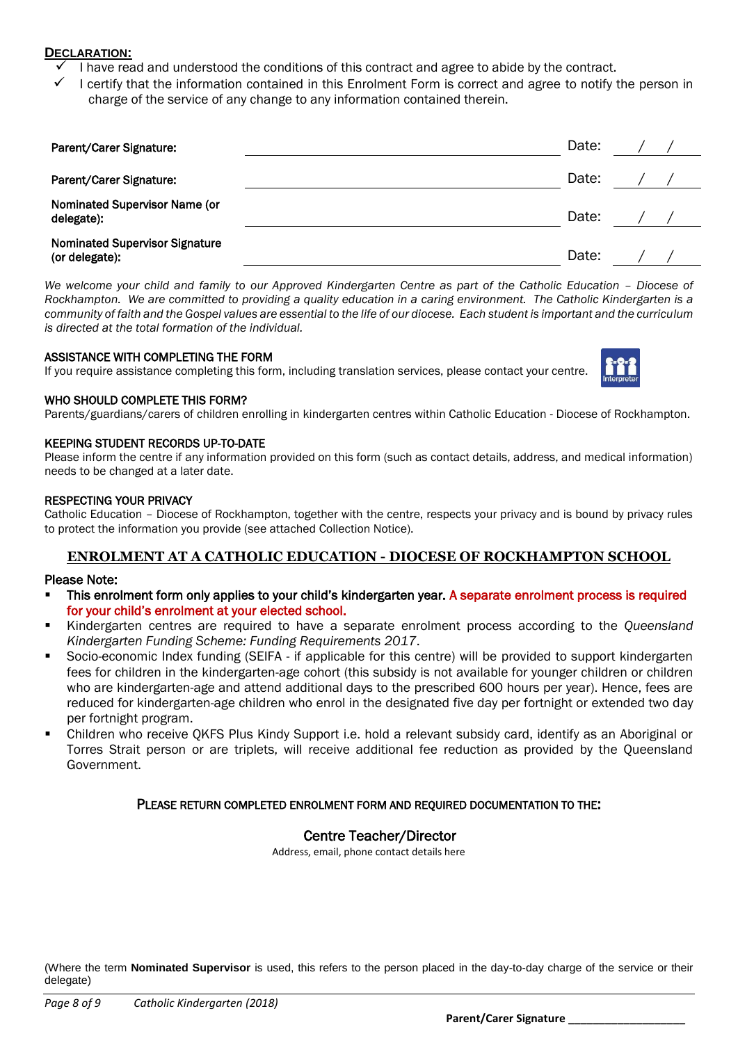# **DECLARATION:**

- I have read and understood the conditions of this contract and agree to abide by the contract.
- I certify that the information contained in this Enrolment Form is correct and agree to notify the person in charge of the service of any change to any information contained therein.

| Parent/Carer Signature:                                 | Date: |  |
|---------------------------------------------------------|-------|--|
| Parent/Carer Signature:                                 | Date: |  |
| Nominated Supervisor Name (or<br>delegate):             | Date: |  |
| <b>Nominated Supervisor Signature</b><br>(or delegate): | Date: |  |

*We welcome your child and family to our Approved Kindergarten Centre as part of the Catholic Education - Diocese of Rockhampton. We are committed to providing a quality education in a caring environment. The Catholic Kindergarten is a community of faith and the Gospel values are essential to the life of our diocese. Each student is important and the curriculum is directed at the total formation of the individual.*

# ASSISTANCE WITH COMPLETING THE FORM

If you require assistance completing this form, including translation services, please contact your centre.



# WHO SHOULD COMPLETE THIS FORM?

Parents/guardians/carers of children enrolling in kindergarten centres within Catholic Education - Diocese of Rockhampton.

### KEEPING STUDENT RECORDS UP-TO-DATE

Please inform the centre if any information provided on this form (such as contact details, address, and medical information) needs to be changed at a later date.

### RESPECTING YOUR PRIVACY

Catholic Education – Diocese of Rockhampton, together with the centre, respects your privacy and is bound by privacy rules to protect the information you provide (see attached Collection Notice).

# **ENROLMENT AT A CATHOLIC EDUCATION - DIOCESE OF ROCKHAMPTON SCHOOL**

#### Please Note:

- This enrolment form only applies to your child's kindergarten year. A separate enrolment process is required for your child's enrolment at your elected school.
- Kindergarten centres are required to have a separate enrolment process according to the *Queensland Kindergarten Funding Scheme: Funding Requirements 2017*.
- Socio-economic Index funding (SEIFA if applicable for this centre) will be provided to support kindergarten fees for children in the kindergarten-age cohort (this subsidy is not available for younger children or children who are kindergarten-age and attend additional days to the prescribed 600 hours per year). Hence, fees are reduced for kindergarten-age children who enrol in the designated five day per fortnight or extended two day per fortnight program.
- Children who receive QKFS Plus Kindy Support i.e. hold a relevant subsidy card, identify as an Aboriginal or Torres Strait person or are triplets, will receive additional fee reduction as provided by the Queensland Government.

# PLEASE RETURN COMPLETED ENROLMENT FORM AND REQUIRED DOCUMENTATION TO THE:

# Centre Teacher/Director

Address, email, phone contact details here

(Where the term **Nominated Supervisor** is used, this refers to the person placed in the day-to-day charge of the service or their delegate)